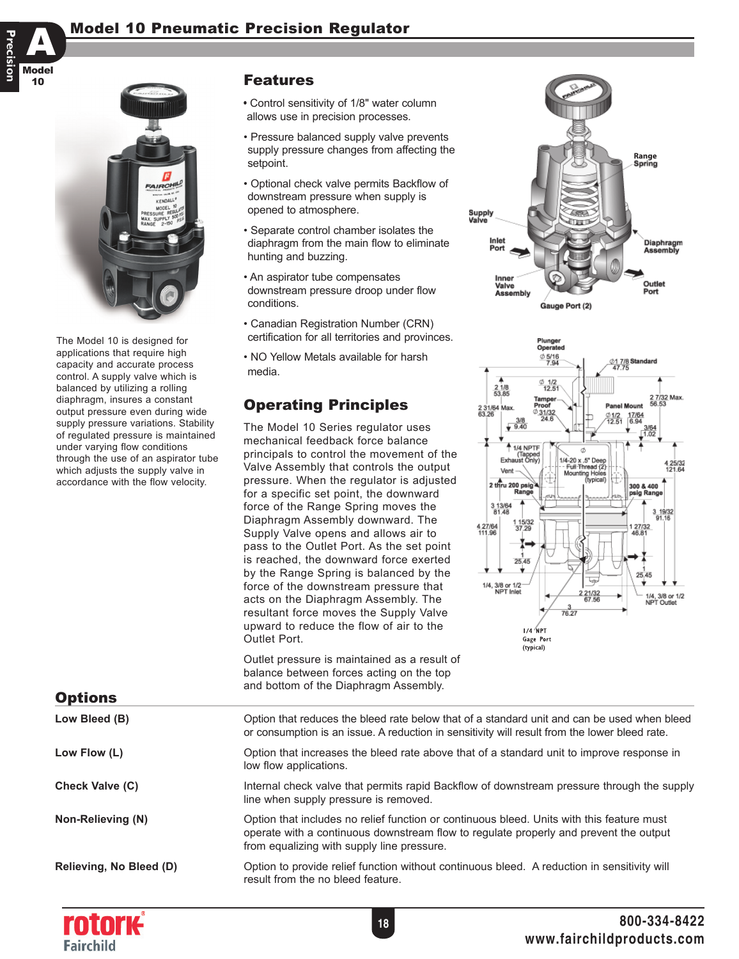



The Model 10 is designed for applications that require high capacity and accurate process control. A supply valve which is balanced by utilizing a rolling diaphragm, insures a constant output pressure even during wide supply pressure variations. Stability of regulated pressure is maintained under varying flow conditions through the use of an aspirator tube which adjusts the supply valve in accordance with the flow velocity.

## Features

- Control sensitivity of 1/8" water column allows use in precision processes.
- Pressure balanced supply valve prevents supply pressure changes from affecting the setpoint.
- Optional check valve permits Backflow of downstream pressure when supply is opened to atmosphere.
- Separate control chamber isolates the diaphragm from the main flow to eliminate hunting and buzzing.
- An aspirator tube compensates downstream pressure droop under flow conditions.
- Canadian Registration Number (CRN) certification for all territories and provinces.
- NO Yellow Metals available for harsh media.

# Operating Principles

The Model 10 Series regulator uses mechanical feedback force balance principals to control the movement of the Valve Assembly that controls the output pressure. When the regulator is adjusted for a specific set point, the downward force of the Range Spring moves the Diaphragm Assembly downward. The Supply Valve opens and allows air to pass to the Outlet Port. As the set point is reached, the downward force exerted by the Range Spring is balanced by the force of the downstream pressure that acts on the Diaphragm Assembly. The resultant force moves the Supply Valve upward to reduce the flow of air to the Outlet Port.

Outlet pressure is maintained as a result of balance between forces acting on the top





and bottom of the Diaphragm Assembly. Low Bleed (B) Option that reduces the bleed rate below that of a standard unit and can be used when bleed or consumption is an issue. A reduction in sensitivity will result from the lower bleed rate. Low Flow (L) **Contrary Communist Contrary Contrary Contrary Contrary Contrary Contrary Contrary Contrary Contra** low flow applications. **Check Valve (C)** Internal check valve that permits rapid Backflow of downstream pressure through the supply line when supply pressure is removed. **Non-Relieving (N)** Option that includes no relief function or continuous bleed. Units with this feature must operate with a continuous downstream flow to regulate properly and prevent the output from equalizing with supply line pressure. **Relieving, No Bleed (D)** Option to provide relief function without continuous bleed. A reduction in sensitivity will result from the no bleed feature. **Options**